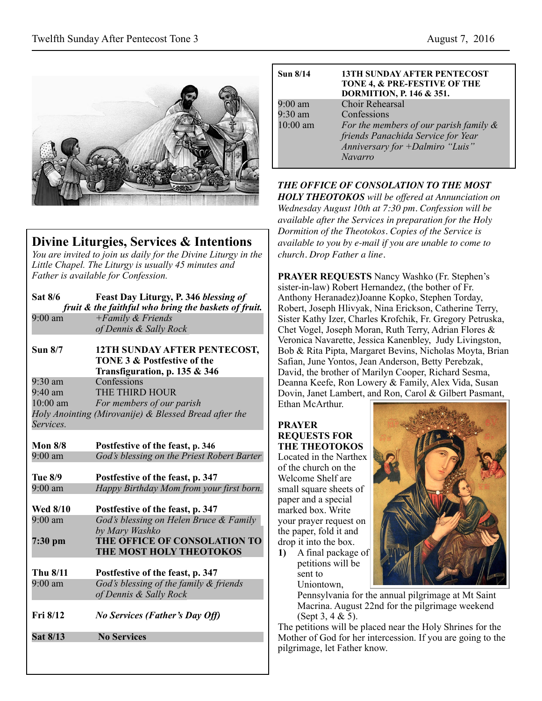

# **Divine Liturgies, Services & Intentions**

*You are invited to join us daily for the Divine Liturgy in the Little Chapel. The Liturgy is usually 45 minutes and Father is available for Confession.*

| <b>Sat 8/6</b>    | Feast Day Liturgy, P. 346 blessing of<br>fruit & the faithful who bring the baskets of fruit.           |  |
|-------------------|---------------------------------------------------------------------------------------------------------|--|
| $9.00 \text{ am}$ | $+ Family &$ Friends                                                                                    |  |
|                   | of Dennis & Sally Rock                                                                                  |  |
| <b>Sun 8/7</b>    | 12TH SUNDAY AFTER PENTECOST,<br><b>TONE 3 &amp; Postfestive of the</b><br>Transfiguration, p. 135 & 346 |  |
| $9:30$ am         | Confessions                                                                                             |  |
| $9.40 \text{ am}$ | THE THIRD HOUR                                                                                          |  |
| $10:00$ am        | For members of our parish                                                                               |  |
|                   | Holy Anointing (Mirovanije) & Blessed Bread after the                                                   |  |
| Services.         |                                                                                                         |  |
|                   |                                                                                                         |  |
| <b>Mon 8/8</b>    | Postfestive of the feast, p. 346                                                                        |  |
| $9:00 \text{ am}$ | God's blessing on the Priest Robert Barter                                                              |  |
|                   |                                                                                                         |  |
| Tue 8/9           | Postfestive of the feast, p. 347                                                                        |  |
| $9:00$ am         | Happy Birthday Mom from your first born.                                                                |  |
|                   |                                                                                                         |  |
| <b>Wed 8/10</b>   | Postfestive of the feast, p. 347                                                                        |  |
| $9:00$ am         | God's blessing on Helen Bruce & Family<br>by Mary Washko                                                |  |
| 7:30 pm           | THE OFFICE OF CONSOLATION TO                                                                            |  |
|                   | <b>THE MOST HOLY THEOTOKOS</b>                                                                          |  |
|                   |                                                                                                         |  |
| Thu 8/11          | Postfestive of the feast, p. 347                                                                        |  |
| $9:00$ am         | God's blessing of the family & friends                                                                  |  |
|                   | of Dennis & Sally Rock                                                                                  |  |
|                   |                                                                                                         |  |
| Fri 8/12          | <b>No Services (Father's Day Off)</b>                                                                   |  |
| Sat 8/13          | <b>No Services</b>                                                                                      |  |
|                   |                                                                                                         |  |

| Sun $8/14$        | <b>13TH SUNDAY AFTER PENTECOST</b><br>TONE 4, & PRE-FESTIVE OF THE<br>DORMITION, P. 146 & 351. |
|-------------------|------------------------------------------------------------------------------------------------|
| $9:00 \text{ am}$ | <b>Choir Rehearsal</b>                                                                         |
| $9:30$ am         | Confessions                                                                                    |
| 10:00 am          | For the members of our parish family $\&$                                                      |
|                   | friends Panachida Service for Year                                                             |
|                   | Anniversary for +Dalmiro "Luis"                                                                |
|                   | <b>Navarro</b>                                                                                 |

### *THE OFFICE OF CONSOLATION TO THE MOST*

*HOLY THEOTOKOS will be offered at Annunciation on Wednesday August 10th at 7:30 pm. Confession will be available after the Services in preparation for the Holy Dormition of the Theotokos. Copies of the Service is available to you by e-mail if you are unable to come to church. Drop Father a line.*

**PRAYER REQUESTS** Nancy Washko (Fr. Stephen's sister-in-law) Robert Hernandez, (the bother of Fr. Anthony Heranadez)Joanne Kopko, Stephen Torday, Robert, Joseph Hlivyak, Nina Erickson, Catherine Terry, Sister Kathy Izer, Charles Krofchik, Fr. Gregory Petruska, Chet Vogel, Joseph Moran, Ruth Terry, Adrian Flores & Veronica Navarette, Jessica Kanenbley, Judy Livingston, Bob & Rita Pipta, Margaret Bevins, Nicholas Moyta, Brian Safian, June Yontos, Jean Anderson, Betty Perebzak, David, the brother of Marilyn Cooper, Richard Sesma, Deanna Keefe, Ron Lowery & Family, Alex Vida, Susan Dovin, Janet Lambert, and Ron, Carol & Gilbert Pasmant, Ethan McArthur.

### **PRAYER REQUESTS FOR THE THEOTOKOS**

Located in the Narthex of the church on the Welcome Shelf are small square sheets of paper and a special marked box. Write your prayer request on the paper, fold it and drop it into the box.

**1)** A final package of petitions will be sent to Uniontown,



Pennsylvania for the annual pilgrimage at Mt Saint Macrina. August 22nd for the pilgrimage weekend (Sept 3, 4 & 5).

The petitions will be placed near the Holy Shrines for the Mother of God for her intercession. If you are going to the pilgrimage, let Father know.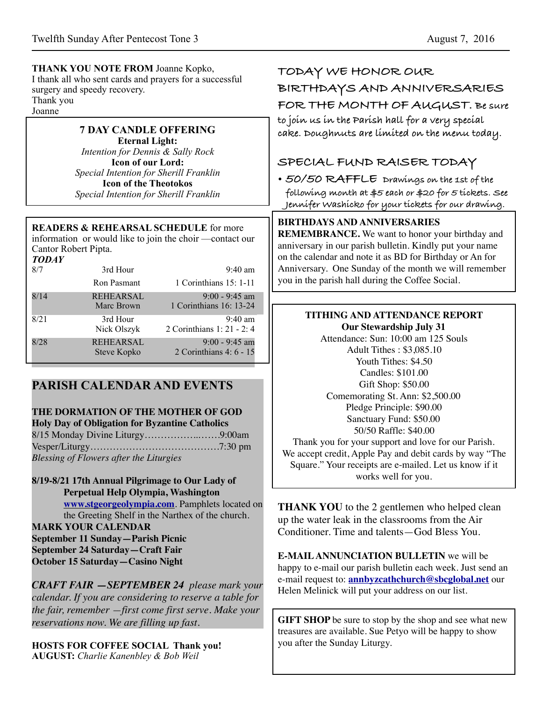### **THANK YOU NOTE FROM** Joanne Kopko,

I thank all who sent cards and prayers for a successful surgery and speedy recovery. Thank you Joanne

## **7 DAY CANDLE OFFERING**

**Eternal Light:**  *Intention for Dennis & Sally Rock*  **Icon of our Lord:**  *Special Intention for Sherill Franklin*  **Icon of the Theotokos**  *Special Intention for Sherill Franklin* 

### **READERS & REHEARSAL SCHEDULE** for more

information or would like to join the choir —contact our Cantor Robert Pipta. *TODAY* 

| TUDAY |                                 |                                                 |
|-------|---------------------------------|-------------------------------------------------|
| 8/7   | 3rd Hour                        | $9:40 \text{ am}$                               |
|       | Ron Pasmant                     | 1 Corinthians 15: 1-11                          |
| 8/14  | <b>REHEARSAL</b><br>Marc Brown  | $9:00 - 9:45$ am<br>1 Corinthians 16: 13-24     |
| 8/21  | 3rd Hour<br>Nick Olszyk         | $9:40 \text{ am}$<br>2 Corinthians 1: 21 - 2: 4 |
| 8/28  | <b>REHEARSAL</b><br>Steve Kopko | $9:00 - 9:45$ am<br>2 Corinthians 4: 6 - 15     |

## **PARISH CALENDAR AND EVENTS**

# **THE DORMATION OF THE MOTHER OF GOD**

**Holy Day of Obligation for Byzantine Catholics** 8/15 Monday Divine Liturgy……………..…….9:00am Vesper/Liturgy………………………………….7:30 pm *Blessing of Flowers after the Liturgies*

**8/19-8/21 17th Annual Pilgrimage to Our Lady of Perpetual Help Olympia, Washington [www.stgeorgeolympia.com](http://www.stgeorgeolympia.com)**. Pamphlets located on the Greeting Shelf in the Narthex of the church.

**MARK YOUR CALENDAR September 11 Sunday—Parish Picnic September 24 Saturday—Craft Fair October 15 Saturday—Casino Night**

*CRAFT FAIR —SEPTEMBER 24 please mark your calendar. If you are considering to reserve a table for the fair, remember —first come first serve. Make your reservations now. We are filling up fast.*

**HOSTS FOR COFFEE SOCIAL Thank you! AUGUST:** *Charlie Kanenbley & Bob Weil*

# **TODAY WE HONOR OUR BIRTHDAYS AND ANNIVERSARIES FOR THE MONTH OF AUGUST. Be sure**

**to join us in the Parish hall for a very special cake. Doughnuts are limited on the menu today.** 

## **SPECIAL FUND RAISER TODAY**

**• 50/50 RAFFLE Drawings on the 1st of the following month at \$5 each or \$20 for 5 tickets. See Jennifer Washicko for your tickets for our drawing.**

### **BIRTHDAYS AND ANNIVERSARIES**

**REMEMBRANCE.** We want to honor your birthday and anniversary in our parish bulletin. Kindly put your name on the calendar and note it as BD for Birthday or An for Anniversary. One Sunday of the month we will remember you in the parish hall during the Coffee Social.

#### **TITHING AND ATTENDANCE REPORT Our Stewardship July 31**

Attendance: Sun: 10:00 am 125 Souls Adult Tithes : \$3,085.10 Youth Tithes: \$4.50 Candles: \$101.00 Gift Shop: \$50.00 Comemorating St. Ann: \$2,500.00 Pledge Principle: \$90.00 Sanctuary Fund: \$50.00 50/50 Raffle: \$40.00 Thank you for your support and love for our Parish.

We accept credit, Apple Pay and debit cards by way "The Square." Your receipts are e-mailed. Let us know if it works well for you.

**THANK YOU** to the 2 gentlemen who helped clean up the water leak in the classrooms from the Air Conditioner. Time and talents—God Bless You.

**E-MAIL ANNUNCIATION BULLETIN** we will be happy to e-mail our parish bulletin each week. Just send an e-mail request to: **[annbyzcathchurch@sbcglobal.net](mailto:annbyzcathchurch@sbcglobal.net)** our Helen Melinick will put your address on our list.

**GIFT SHOP** be sure to stop by the shop and see what new treasures are available. Sue Petyo will be happy to show you after the Sunday Liturgy.